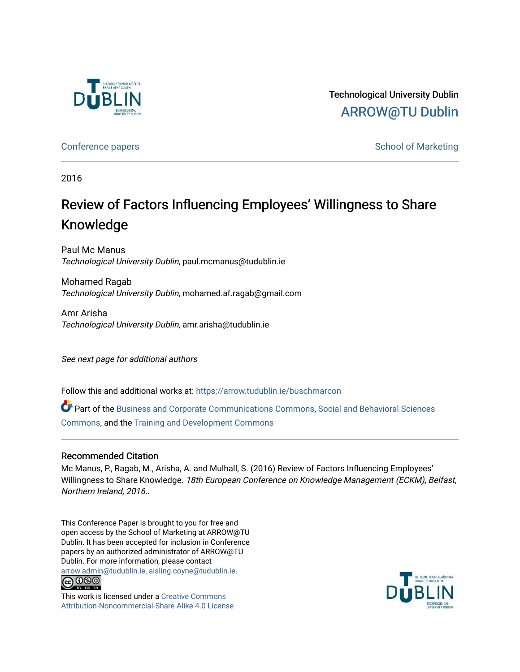

Technological University Dublin [ARROW@TU Dublin](https://arrow.tudublin.ie/) 

[Conference papers](https://arrow.tudublin.ie/buschmarcon) **School of Marketing** Conference papers **School of Marketing** 

2016

# Review of Factors Influencing Employees' Willingness to Share Knowledge

Paul Mc Manus Technological University Dublin, paul.mcmanus@tudublin.ie

Mohamed Ragab Technological University Dublin, mohamed.af.ragab@gmail.com

Amr Arisha Technological University Dublin, amr.arisha@tudublin.ie

See next page for additional authors

Follow this and additional works at: [https://arrow.tudublin.ie/buschmarcon](https://arrow.tudublin.ie/buschmarcon?utm_source=arrow.tudublin.ie%2Fbuschmarcon%2F149&utm_medium=PDF&utm_campaign=PDFCoverPages) 

Part of the [Business and Corporate Communications Commons](http://network.bepress.com/hgg/discipline/627?utm_source=arrow.tudublin.ie%2Fbuschmarcon%2F149&utm_medium=PDF&utm_campaign=PDFCoverPages), [Social and Behavioral Sciences](http://network.bepress.com/hgg/discipline/316?utm_source=arrow.tudublin.ie%2Fbuschmarcon%2F149&utm_medium=PDF&utm_campaign=PDFCoverPages) [Commons](http://network.bepress.com/hgg/discipline/316?utm_source=arrow.tudublin.ie%2Fbuschmarcon%2F149&utm_medium=PDF&utm_campaign=PDFCoverPages), and the [Training and Development Commons](http://network.bepress.com/hgg/discipline/1257?utm_source=arrow.tudublin.ie%2Fbuschmarcon%2F149&utm_medium=PDF&utm_campaign=PDFCoverPages) 

## Recommended Citation

Mc Manus, P., Ragab, M., Arisha, A. and Mulhall, S. (2016) Review of Factors Influencing Employees' Willingness to Share Knowledge. 18th European Conference on Knowledge Management (ECKM), Belfast, Northern Ireland, 2016..

This Conference Paper is brought to you for free and open access by the School of Marketing at ARROW@TU Dublin. It has been accepted for inclusion in Conference papers by an authorized administrator of ARROW@TU Dublin. For more information, please contact [arrow.admin@tudublin.ie, aisling.coyne@tudublin.ie](mailto:arrow.admin@tudublin.ie,%20aisling.coyne@tudublin.ie).



This work is licensed under a [Creative Commons](http://creativecommons.org/licenses/by-nc-sa/4.0/) [Attribution-Noncommercial-Share Alike 4.0 License](http://creativecommons.org/licenses/by-nc-sa/4.0/)

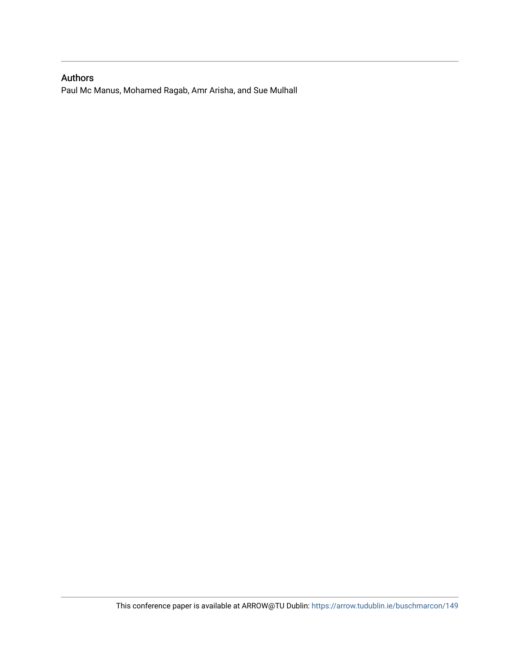# Authors

Paul Mc Manus, Mohamed Ragab, Amr Arisha, and Sue Mulhall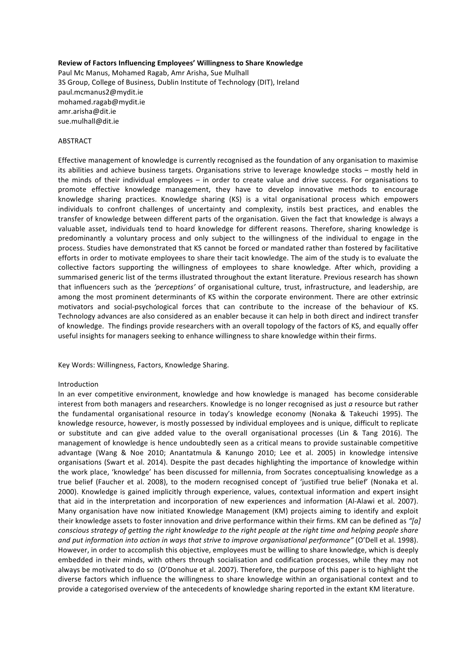#### **Review of Factors Influencing Employees' Willingness to Share Knowledge**

Paul Mc Manus, Mohamed Ragab, Amr Arisha, Sue Mulhall 3S Group, College of Business, Dublin Institute of Technology (DIT), Ireland paul.mcmanus2@mydit.ie mohamed.ragab@mydit.ie amr.arisha@dit.ie sue.mulhall@dit.ie

### ABSTRACT

Effective management of knowledge is currently recognised as the foundation of any organisation to maximise its abilities and achieve business targets. Organisations strive to leverage knowledge stocks – mostly held in the minds of their individual employees  $-$  in order to create value and drive success. For organisations to promote effective knowledge management, they have to develop innovative methods to encourage knowledge sharing practices. Knowledge sharing (KS) is a vital organisational process which empowers individuals to confront challenges of uncertainty and complexity, instils best practices, and enables the transfer of knowledge between different parts of the organisation. Given the fact that knowledge is always a valuable asset, individuals tend to hoard knowledge for different reasons. Therefore, sharing knowledge is predominantly a voluntary process and only subject to the willingness of the individual to engage in the process. Studies have demonstrated that KS cannot be forced or mandated rather than fostered by facilitative efforts in order to motivate employees to share their tacit knowledge. The aim of the study is to evaluate the collective factors supporting the willingness of employees to share knowledge. After which, providing a summarised generic list of the terms illustrated throughout the extant literature. Previous research has shown that influencers such as the 'perceptions' of organisational culture, trust, infrastructure, and leadership, are among the most prominent determinants of KS within the corporate environment. There are other extrinsic motivators and social-psychological forces that can contribute to the increase of the behaviour of KS. Technology advances are also considered as an enabler because it can help in both direct and indirect transfer of knowledge. The findings provide researchers with an overall topology of the factors of KS, and equally offer useful insights for managers seeking to enhance willingness to share knowledge within their firms.

Key Words: Willingness, Factors, Knowledge Sharing.

#### Introduction

In an ever competitive environment, knowledge and how knowledge is managed has become considerable interest from both managers and researchers. Knowledge is no longer recognised as just *a* resource but rather the fundamental organisational resource in today's knowledge economy (Nonaka & Takeuchi 1995). The knowledge resource, however, is mostly possessed by individual employees and is unique, difficult to replicate or substitute and can give added value to the overall organisational processes (Lin & Tang 2016). The management of knowledge is hence undoubtedly seen as a critical means to provide sustainable competitive advantage (Wang & Noe 2010; Anantatmula & Kanungo 2010; Lee et al. 2005) in knowledge intensive organisations (Swart et al. 2014). Despite the past decades highlighting the importance of knowledge within the work place, 'knowledge' has been discussed for millennia, from Socrates conceptualising knowledge as a true belief (Faucher et al. 2008), to the modern recognised concept of 'justified true belief' (Nonaka et al. 2000). Knowledge is gained implicitly through experience, values, contextual information and expert insight that aid in the interpretation and incorporation of new experiences and information (Al-Alawi et al. 2007). Many organisation have now initiated Knowledge Management (KM) projects aiming to identify and exploit their knowledge assets to foster innovation and drive performance within their firms. KM can be defined as "[a] *conscious strategy of getting the right knowledge to the right people at the right time and helping people share* and put information into action in ways that strive to improve organisational performance" (O'Dell et al. 1998). However, in order to accomplish this objective, employees must be willing to share knowledge, which is deeply embedded in their minds, with others through socialisation and codification processes, while they may not always be motivated to do so (O'Donohue et al. 2007). Therefore, the purpose of this paper is to highlight the diverse factors which influence the willingness to share knowledge within an organisational context and to provide a categorised overview of the antecedents of knowledge sharing reported in the extant KM literature.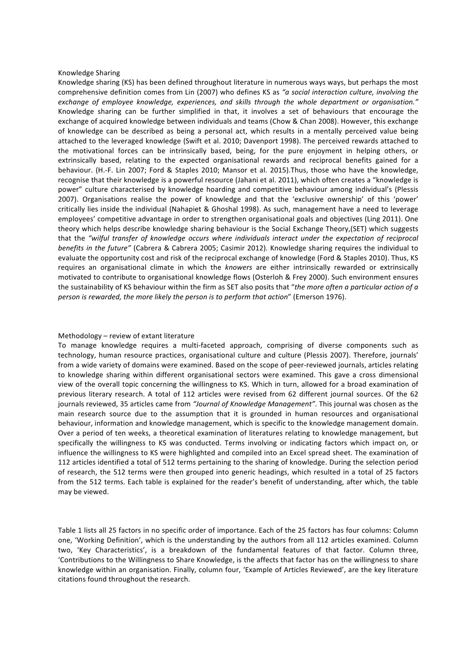#### Knowledge Sharing

Knowledge sharing (KS) has been defined throughout literature in numerous ways ways, but perhaps the most comprehensive definition comes from Lin (2007) who defines KS as "a social interaction culture, involving the exchange of employee knowledge, experiences, and skills through the whole department or organisation." Knowledge sharing can be further simplified in that, it involves a set of behaviours that encourage the exchange of acquired knowledge between individuals and teams (Chow & Chan 2008). However, this exchange of knowledge can be described as being a personal act, which results in a mentally perceived value being attached to the leveraged knowledge (Swift et al. 2010; Davenport 1998). The perceived rewards attached to the motivational forces can be intrinsically based, being, for the pure enjoyment in helping others, or extrinsically based, relating to the expected organisational rewards and reciprocal benefits gained for a behaviour. (H.-F. Lin 2007; Ford & Staples 2010; Mansor et al. 2015).Thus, those who have the knowledge, recognise that their knowledge is a powerful resource (Jahani et al. 2011), which often creates a "knowledge is power" culture characterised by knowledge hoarding and competitive behaviour among individual's (Plessis 2007). Organisations realise the power of knowledge and that the 'exclusive ownership' of this 'power' critically lies inside the individual (Nahapiet & Ghoshal 1998). As such, management have a need to leverage employees' competitive advantage in order to strengthen organisational goals and objectives (Ling 2011). One theory which helps describe knowledge sharing behaviour is the Social Exchange Theory,(SET) which suggests that the "wilful transfer of knowledge occurs where individuals interact under the expectation of reciprocal *benefits* in the future" (Cabrera & Cabrera 2005; Casimir 2012). Knowledge sharing requires the individual to evaluate the opportunity cost and risk of the reciprocal exchange of knowledge (Ford & Staples 2010). Thus, KS requires an organisational climate in which the *knowers* are either intrinsically rewarded or extrinsically motivated to contribute to organisational knowledge flows (Osterloh & Frey 2000). Such environment ensures the sustainability of KS behaviour within the firm as SET also posits that "the more often a particular action of a *person is rewarded, the more likely the person is to perform that action*" (Emerson 1976).

### Methodology  $-$  review of extant literature

To manage knowledge requires a multi-faceted approach, comprising of diverse components such as technology, human resource practices, organisational culture and culture (Plessis 2007). Therefore, journals' from a wide variety of domains were examined. Based on the scope of peer-reviewed journals, articles relating to knowledge sharing within different organisational sectors were examined. This gave a cross dimensional view of the overall topic concerning the willingness to KS. Which in turn, allowed for a broad examination of previous literary research. A total of 112 articles were revised from 62 different journal sources. Of the 62 journals reviewed, 35 articles came from "Journal of Knowledge Management". This journal was chosen as the main research source due to the assumption that it is grounded in human resources and organisational behaviour, information and knowledge management, which is specific to the knowledge management domain. Over a period of ten weeks, a theoretical examination of literatures relating to knowledge management, but specifically the willingness to KS was conducted. Terms involving or indicating factors which impact on, or influence the willingness to KS were highlighted and compiled into an Excel spread sheet. The examination of 112 articles identified a total of 512 terms pertaining to the sharing of knowledge. During the selection period of research, the 512 terms were then grouped into generic headings, which resulted in a total of 25 factors from the 512 terms. Each table is explained for the reader's benefit of understanding, after which, the table may be viewed.

Table 1 lists all 25 factors in no specific order of importance. Each of the 25 factors has four columns: Column one, 'Working Definition', which is the understanding by the authors from all 112 articles examined. Column two, 'Key Characteristics', is a breakdown of the fundamental features of that factor. Column three, 'Contributions to the Willingness to Share Knowledge, is the affects that factor has on the willingness to share knowledge within an organisation. Finally, column four, 'Example of Articles Reviewed', are the key literature citations found throughout the research.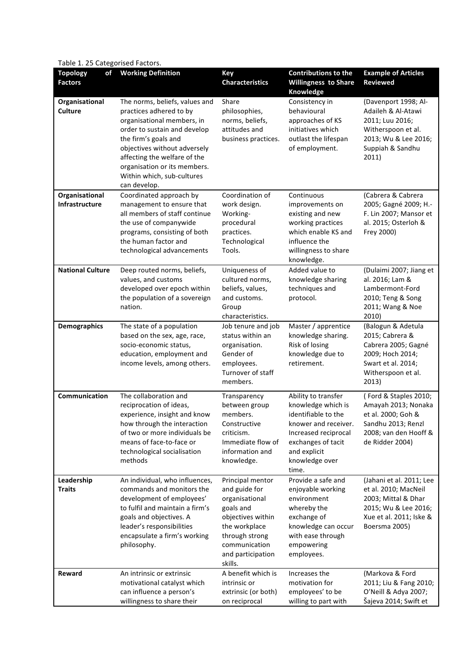Table 1. 25 Categorised Factors.

| <b>Topology</b><br>of<br><b>Factors</b> | <b>Working Definition</b>                                                                                                                                                                                                                                                                     | <b>Key</b><br><b>Characteristics</b>                                                                                                                                      | <b>Contributions to the</b><br><b>Willingness to Share</b><br>Knowledge                                                                                                           | <b>Example of Articles</b><br>Reviewed                                                                                                      |
|-----------------------------------------|-----------------------------------------------------------------------------------------------------------------------------------------------------------------------------------------------------------------------------------------------------------------------------------------------|---------------------------------------------------------------------------------------------------------------------------------------------------------------------------|-----------------------------------------------------------------------------------------------------------------------------------------------------------------------------------|---------------------------------------------------------------------------------------------------------------------------------------------|
| Organisational<br><b>Culture</b>        | The norms, beliefs, values and<br>practices adhered to by<br>organisational members, in<br>order to sustain and develop<br>the firm's goals and<br>objectives without adversely<br>affecting the welfare of the<br>organisation or its members.<br>Within which, sub-cultures<br>can develop. | Share<br>philosophies,<br>norms, beliefs,<br>attitudes and<br>business practices.                                                                                         | Consistency in<br>behavioural<br>approaches of KS<br>initiatives which<br>outlast the lifespan<br>of employment.                                                                  | (Davenport 1998; Al-<br>Adaileh & Al-Atawi<br>2011; Luu 2016;<br>Witherspoon et al.<br>2013; Wu & Lee 2016;<br>Suppiah & Sandhu<br>2011)    |
| Organisational<br>Infrastructure        | Coordinated approach by<br>management to ensure that<br>all members of staff continue<br>the use of companywide<br>programs, consisting of both<br>the human factor and<br>technological advancements                                                                                         | Coordination of<br>work design.<br>Working-<br>procedural<br>practices.<br>Technological<br>Tools.                                                                        | Continuous<br>improvements on<br>existing and new<br>working practices<br>which enable KS and<br>influence the<br>willingness to share<br>knowledge.                              | (Cabrera & Cabrera<br>2005; Gagné 2009; H.-<br>F. Lin 2007; Mansor et<br>al. 2015; Osterloh &<br>Frey 2000)                                 |
| <b>National Culture</b>                 | Deep routed norms, beliefs,<br>values, and customs<br>developed over epoch within<br>the population of a sovereign<br>nation.                                                                                                                                                                 | Uniqueness of<br>cultured norms,<br>beliefs, values,<br>and customs.<br>Group<br>characteristics.                                                                         | Added value to<br>knowledge sharing<br>techniques and<br>protocol.                                                                                                                | (Dulaimi 2007; Jiang et<br>al. 2016; Lam &<br>Lambermont-Ford<br>2010; Teng & Song<br>2011; Wang & Noe<br>2010)                             |
| <b>Demographics</b>                     | The state of a population<br>based on the sex, age, race,<br>socio-economic status,<br>education, employment and<br>income levels, among others.                                                                                                                                              | Job tenure and job<br>status within an<br>organisation.<br>Gender of<br>employees.<br>Turnover of staff<br>members.                                                       | Master / apprentice<br>knowledge sharing.<br>Risk of losing<br>knowledge due to<br>retirement.                                                                                    | (Balogun & Adetula<br>2015; Cabrera &<br>Cabrera 2005; Gagné<br>2009; Hoch 2014;<br>Swart et al. 2014;<br>Witherspoon et al.<br>2013)       |
| Communication                           | The collaboration and<br>reciprocation of ideas,<br>experience, insight and know<br>how through the interaction<br>of two or more individuals be<br>means of face-to-face or<br>technological socialisation<br>methods                                                                        | Transparency<br>between group<br>members.<br>Constructive<br>criticism.<br>Immediate flow of<br>information and<br>knowledge.                                             | Ability to transfer<br>knowledge which is<br>identifiable to the<br>knower and receiver.<br>Increased reciprocal<br>exchanges of tacit<br>and explicit<br>knowledge over<br>time. | (Ford & Staples 2010;<br>Amayah 2013; Nonaka<br>et al. 2000; Goh &<br>Sandhu 2013; Renzl<br>2008; van den Hooff &<br>de Ridder 2004)        |
| Leadership<br><b>Traits</b>             | An individual, who influences,<br>commands and monitors the<br>development of employees'<br>to fulfil and maintain a firm's<br>goals and objectives. A<br>leader's responsibilities<br>encapsulate a firm's working<br>philosophy.                                                            | Principal mentor<br>and guide for<br>organisational<br>goals and<br>objectives within<br>the workplace<br>through strong<br>communication<br>and participation<br>skills. | Provide a safe and<br>enjoyable working<br>environment<br>whereby the<br>exchange of<br>knowledge can occur<br>with ease through<br>empowering<br>employees.                      | (Jahani et al. 2011; Lee<br>et al. 2010; MacNeil<br>2003; Mittal & Dhar<br>2015; Wu & Lee 2016;<br>Xue et al. 2011; Iske &<br>Boersma 2005) |
| Reward                                  | An intrinsic or extrinsic<br>motivational catalyst which<br>can influence a person's<br>willingness to share their                                                                                                                                                                            | A benefit which is<br>intrinsic or<br>extrinsic (or both)<br>on reciprocal                                                                                                | Increases the<br>motivation for<br>employees' to be<br>willing to part with                                                                                                       | (Markova & Ford<br>2011; Liu & Fang 2010;<br>O'Neill & Adya 2007;<br>Šajeva 2014; Swift et                                                  |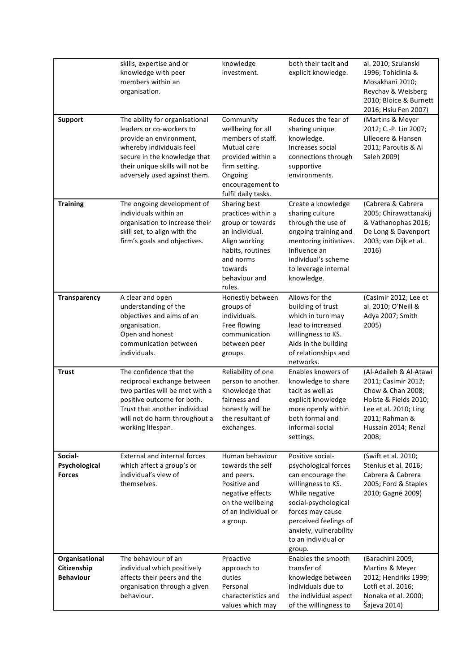|                                                   | skills, expertise and or<br>knowledge with peer<br>members within an<br>organisation.                                                                                                                                | knowledge<br>investment.                                                                                                                                         | both their tacit and<br>explicit knowledge.                                                                                                                                                                                           | al. 2010; Szulanski<br>1996; Tohidinia &<br>Mosakhani 2010;<br>Reychav & Weisberg<br>2010; Bloice & Burnett<br>2016; Hsiu Fen 2007)                                    |
|---------------------------------------------------|----------------------------------------------------------------------------------------------------------------------------------------------------------------------------------------------------------------------|------------------------------------------------------------------------------------------------------------------------------------------------------------------|---------------------------------------------------------------------------------------------------------------------------------------------------------------------------------------------------------------------------------------|------------------------------------------------------------------------------------------------------------------------------------------------------------------------|
| <b>Support</b>                                    | The ability for organisational<br>leaders or co-workers to<br>provide an environment,<br>whereby individuals feel<br>secure in the knowledge that<br>their unique skills will not be<br>adversely used against them. | Community<br>wellbeing for all<br>members of staff.<br>Mutual care<br>provided within a<br>firm setting.<br>Ongoing<br>encouragement to<br>fulfil daily tasks.   | Reduces the fear of<br>sharing unique<br>knowledge.<br>Increases social<br>connections through<br>supportive<br>environments.                                                                                                         | (Martins & Meyer<br>2012; C.-P. Lin 2007;<br>Lilleoere & Hansen<br>2011; Paroutis & Al<br>Saleh 2009)                                                                  |
| <b>Training</b>                                   | The ongoing development of<br>individuals within an<br>organisation to increase their<br>skill set, to align with the<br>firm's goals and objectives.                                                                | Sharing best<br>practices within a<br>group or towards<br>an individual.<br>Align working<br>habits, routines<br>and norms<br>towards<br>behaviour and<br>rules. | Create a knowledge<br>sharing culture<br>through the use of<br>ongoing training and<br>mentoring initiatives.<br>Influence an<br>individual's scheme<br>to leverage internal<br>knowledge.                                            | (Cabrera & Cabrera<br>2005; Chirawattanakij<br>& Vathanophas 2016;<br>De Long & Davenport<br>2003; van Dijk et al.<br>2016)                                            |
| <b>Transparency</b>                               | A clear and open<br>understanding of the<br>objectives and aims of an<br>organisation.<br>Open and honest<br>communication between<br>individuals.                                                                   | Honestly between<br>groups of<br>individuals.<br>Free flowing<br>communication<br>between peer<br>groups.                                                        | Allows for the<br>building of trust<br>which in turn may<br>lead to increased<br>willingness to KS.<br>Aids in the building<br>of relationships and<br>networks.                                                                      | (Casimir 2012; Lee et<br>al. 2010; O'Neill &<br>Adya 2007; Smith<br>2005)                                                                                              |
| <b>Trust</b>                                      | The confidence that the<br>reciprocal exchange between<br>two parties will be met with a<br>positive outcome for both.<br>Trust that another individual<br>will not do harm throughout a<br>working lifespan.        | Reliability of one<br>person to another.<br>Knowledge that<br>fairness and<br>honestly will be<br>the resultant of<br>exchanges.                                 | Enables knowers of<br>knowledge to share<br>tacit as well as<br>explicit knowledge<br>more openly within<br>both formal and<br>informal social<br>settings.                                                                           | (Al-Adaileh & Al-Atawi<br>2011; Casimir 2012;<br>Chow & Chan 2008;<br>Holste & Fields 2010;<br>Lee et al. 2010; Ling<br>2011; Rahman &<br>Hussain 2014; Renzl<br>2008; |
| Social-<br>Psychological<br><b>Forces</b>         | <b>External and internal forces</b><br>which affect a group's or<br>individual's view of<br>themselves.                                                                                                              | Human behaviour<br>towards the self<br>and peers.<br>Positive and<br>negative effects<br>on the wellbeing<br>of an individual or<br>a group.                     | Positive social-<br>psychological forces<br>can encourage the<br>willingness to KS.<br>While negative<br>social-psychological<br>forces may cause<br>perceived feelings of<br>anxiety, vulnerability<br>to an individual or<br>group. | (Swift et al. 2010;<br>Stenius et al. 2016;<br>Cabrera & Cabrera<br>2005; Ford & Staples<br>2010; Gagné 2009)                                                          |
| Organisational<br>Citizenship<br><b>Behaviour</b> | The behaviour of an<br>individual which positively<br>affects their peers and the<br>organisation through a given<br>behaviour.                                                                                      | Proactive<br>approach to<br>duties<br>Personal<br>characteristics and<br>values which may                                                                        | Enables the smooth<br>transfer of<br>knowledge between<br>individuals due to<br>the individual aspect<br>of the willingness to                                                                                                        | (Barachini 2009;<br><b>Martins &amp; Meyer</b><br>2012; Hendriks 1999;<br>Lotfi et al. 2016;<br>Nonaka et al. 2000;<br>Šajeva 2014)                                    |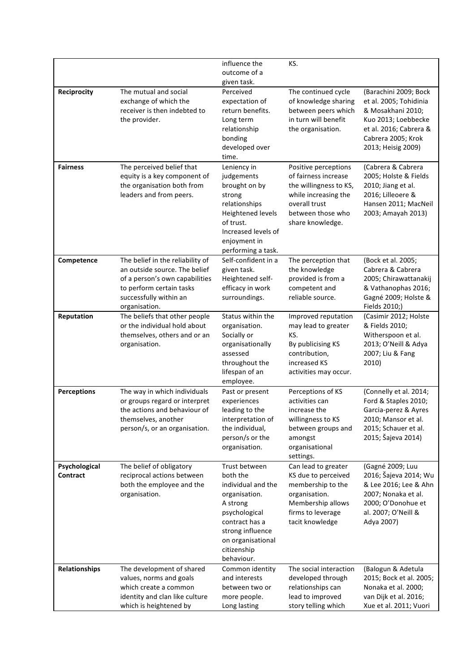|                           |                                                                                                                                                                            | influence the<br>outcome of a<br>given task.                                                                                                                                          | KS.                                                                                                                                                      |                                                                                                                                                                   |
|---------------------------|----------------------------------------------------------------------------------------------------------------------------------------------------------------------------|---------------------------------------------------------------------------------------------------------------------------------------------------------------------------------------|----------------------------------------------------------------------------------------------------------------------------------------------------------|-------------------------------------------------------------------------------------------------------------------------------------------------------------------|
| Reciprocity               | The mutual and social<br>exchange of which the<br>receiver is then indebted to<br>the provider.                                                                            | Perceived<br>expectation of<br>return benefits.<br>Long term<br>relationship<br>bonding<br>developed over<br>time.                                                                    | The continued cycle<br>of knowledge sharing<br>between peers which<br>in turn will benefit<br>the organisation.                                          | (Barachini 2009; Bock<br>et al. 2005; Tohidinia<br>& Mosakhani 2010;<br>Kuo 2013; Loebbecke<br>et al. 2016; Cabrera &<br>Cabrera 2005; Krok<br>2013; Heisig 2009) |
| <b>Fairness</b>           | The perceived belief that<br>equity is a key component of<br>the organisation both from<br>leaders and from peers.                                                         | Leniency in<br>judgements<br>brought on by<br>strong<br>relationships<br>Heightened levels<br>of trust.<br>Increased levels of<br>enjoyment in<br>performing a task.                  | Positive perceptions<br>of fairness increase<br>the willingness to KS,<br>while increasing the<br>overall trust<br>between those who<br>share knowledge. | (Cabrera & Cabrera<br>2005; Holste & Fields<br>2010; Jiang et al.<br>2016; Lilleoere &<br>Hansen 2011; MacNeil<br>2003; Amayah 2013)                              |
| Competence                | The belief in the reliability of<br>an outside source. The belief<br>of a person's own capabilities<br>to perform certain tasks<br>successfully within an<br>organisation. | Self-confident in a<br>given task.<br>Heightened self-<br>efficacy in work<br>surroundings.                                                                                           | The perception that<br>the knowledge<br>provided is from a<br>competent and<br>reliable source.                                                          | (Bock et al. 2005;<br>Cabrera & Cabrera<br>2005; Chirawattanakij<br>& Vathanophas 2016;<br>Gagné 2009; Holste &<br>Fields 2010;)                                  |
| Reputation                | The beliefs that other people<br>or the individual hold about<br>themselves, others and or an<br>organisation.                                                             | Status within the<br>organisation.<br>Socially or<br>organisationally<br>assessed<br>throughout the<br>lifespan of an<br>employee.                                                    | Improved reputation<br>may lead to greater<br>KS.<br>By publicising KS<br>contribution,<br>increased KS<br>activities may occur.                         | (Casimir 2012; Holste<br>& Fields 2010;<br>Witherspoon et al.<br>2013; O'Neill & Adya<br>2007; Liu & Fang<br>2010)                                                |
| <b>Perceptions</b>        | The way in which individuals<br>or groups regard or interpret<br>the actions and behaviour of<br>themselves, another<br>person/s, or an organisation.                      | Past or present<br>experiences<br>leading to the<br>interpretation of<br>the individual,<br>person/s or the<br>organisation.                                                          | Perceptions of KS<br>activities can<br>increase the<br>willingness to KS<br>between groups and<br>amongst<br>organisational<br>settings.                 | (Connelly et al. 2014;<br>Ford & Staples 2010;<br>Garcia-perez & Ayres<br>2010; Mansor et al.<br>2015; Schauer et al.<br>2015; Šajeva 2014)                       |
| Psychological<br>Contract | The belief of obligatory<br>reciprocal actions between<br>both the employee and the<br>organisation.                                                                       | Trust between<br>both the<br>individual and the<br>organisation.<br>A strong<br>psychological<br>contract has a<br>strong influence<br>on organisational<br>citizenship<br>behaviour. | Can lead to greater<br>KS due to perceived<br>membership to the<br>organisation.<br>Membership allows<br>firms to leverage<br>tacit knowledge            | (Gagné 2009; Luu<br>2016; Šajeva 2014; Wu<br>& Lee 2016; Lee & Ahn<br>2007; Nonaka et al.<br>2000; O'Donohue et<br>al. 2007; O'Neill &<br>Adya 2007)              |
| Relationships             | The development of shared<br>values, norms and goals<br>which create a common<br>identity and clan like culture<br>which is heightened by                                  | Common identity<br>and interests<br>between two or<br>more people.<br>Long lasting                                                                                                    | The social interaction<br>developed through<br>relationships can<br>lead to improved<br>story telling which                                              | (Balogun & Adetula<br>2015; Bock et al. 2005;<br>Nonaka et al. 2000;<br>van Dijk et al. 2016;<br>Xue et al. 2011; Vuori                                           |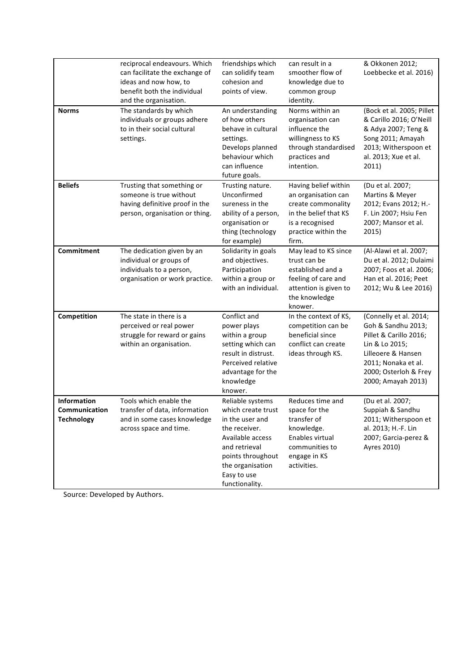| <b>Norms</b>                                                    | reciprocal endeavours. Which<br>can facilitate the exchange of<br>ideas and now how, to<br>benefit both the individual<br>and the organisation.<br>The standards by which<br>individuals or groups adhere<br>to in their social cultural<br>settings. | friendships which<br>can solidify team<br>cohesion and<br>points of view.<br>An understanding<br>of how others<br>behave in cultural<br>settings.<br>Develops planned<br>behaviour which<br>can influence<br>future goals. | can result in a<br>smoother flow of<br>knowledge due to<br>common group<br>identity.<br>Norms within an<br>organisation can<br>influence the<br>willingness to KS<br>through standardised<br>practices and<br>intention. | & Okkonen 2012;<br>Loebbecke et al. 2016)<br>(Bock et al. 2005; Pillet<br>& Carillo 2016; O'Neill<br>& Adya 2007; Teng &<br>Song 2011; Amayah<br>2013; Witherspoon et<br>al. 2013; Xue et al.<br>2011) |
|-----------------------------------------------------------------|-------------------------------------------------------------------------------------------------------------------------------------------------------------------------------------------------------------------------------------------------------|----------------------------------------------------------------------------------------------------------------------------------------------------------------------------------------------------------------------------|--------------------------------------------------------------------------------------------------------------------------------------------------------------------------------------------------------------------------|--------------------------------------------------------------------------------------------------------------------------------------------------------------------------------------------------------|
| <b>Beliefs</b>                                                  | Trusting that something or<br>someone is true without<br>having definitive proof in the<br>person, organisation or thing.                                                                                                                             | Trusting nature.<br>Unconfirmed<br>sureness in the<br>ability of a person,<br>organisation or<br>thing (technology<br>for example)                                                                                         | Having belief within<br>an organisation can<br>create commonality<br>in the belief that KS<br>is a recognised<br>practice within the<br>firm.                                                                            | (Du et al. 2007;<br>Martins & Meyer<br>2012; Evans 2012; H.-<br>F. Lin 2007; Hsiu Fen<br>2007; Mansor et al.<br>2015)                                                                                  |
| Commitment                                                      | The dedication given by an<br>individual or groups of<br>individuals to a person,<br>organisation or work practice.                                                                                                                                   | Solidarity in goals<br>and objectives.<br>Participation<br>within a group or<br>with an individual.                                                                                                                        | May lead to KS since<br>trust can be<br>established and a<br>feeling of care and<br>attention is given to<br>the knowledge<br>knower.                                                                                    | (Al-Alawi et al. 2007;<br>Du et al. 2012; Dulaimi<br>2007; Foos et al. 2006;<br>Han et al. 2016; Peet<br>2012; Wu & Lee 2016)                                                                          |
| Competition                                                     | The state in there is a<br>perceived or real power<br>struggle for reward or gains<br>within an organisation.                                                                                                                                         | Conflict and<br>power plays<br>within a group<br>setting which can<br>result in distrust.<br>Perceived relative<br>advantage for the<br>knowledge<br>knower.                                                               | In the context of KS,<br>competition can be<br>beneficial since<br>conflict can create<br>ideas through KS.                                                                                                              | (Connelly et al. 2014;<br>Goh & Sandhu 2013;<br>Pillet & Carillo 2016;<br>Lin & Lo 2015;<br>Lilleoere & Hansen<br>2011; Nonaka et al.<br>2000; Osterloh & Frey<br>2000; Amayah 2013)                   |
| <b>Information</b><br><b>Communication</b><br><b>Technology</b> | Tools which enable the<br>transfer of data, information<br>and in some cases knowledge<br>across space and time.                                                                                                                                      | Reliable systems<br>which create trust<br>in the user and<br>the receiver.<br>Available access<br>and retrieval<br>points throughout<br>the organisation<br>Easy to use<br>functionality.                                  | Reduces time and<br>space for the<br>transfer of<br>knowledge.<br>Enables virtual<br>communities to<br>engage in KS<br>activities.                                                                                       | (Du et al. 2007;<br>Suppiah & Sandhu<br>2011; Witherspoon et<br>al. 2013; H.-F. Lin<br>2007; Garcia-perez &<br>Ayres 2010)                                                                             |

Source: Developed by Authors.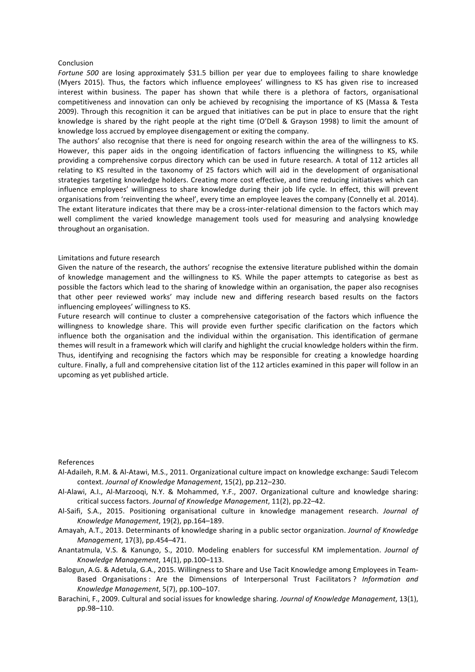#### Conclusion

*Fortune* 500 are losing approximately \$31.5 billion per year due to employees failing to share knowledge (Myers 2015). Thus, the factors which influence employees' willingness to KS has given rise to increased interest within business. The paper has shown that while there is a plethora of factors, organisational competitiveness and innovation can only be achieved by recognising the importance of KS (Massa & Testa 2009). Through this recognition it can be argued that initiatives can be put in place to ensure that the right knowledge is shared by the right people at the right time (O'Dell & Grayson 1998) to limit the amount of knowledge loss accrued by employee disengagement or exiting the company.

The authors' also recognise that there is need for ongoing research within the area of the willingness to KS. However, this paper aids in the ongoing identification of factors influencing the willingness to KS, while providing a comprehensive corpus directory which can be used in future research. A total of 112 articles all relating to KS resulted in the taxonomy of 25 factors which will aid in the development of organisational strategies targeting knowledge holders. Creating more cost effective, and time reducing initiatives which can influence employees' willingness to share knowledge during their job life cycle. In effect, this will prevent organisations from 'reinventing the wheel', every time an employee leaves the company (Connelly et al. 2014). The extant literature indicates that there may be a cross-inter-relational dimension to the factors which may well compliment the varied knowledge management tools used for measuring and analysing knowledge throughout an organisation.

### Limitations and future research

Given the nature of the research, the authors' recognise the extensive literature published within the domain of knowledge management and the willingness to KS. While the paper attempts to categorise as best as possible the factors which lead to the sharing of knowledge within an organisation, the paper also recognises that other peer reviewed works' may include new and differing research based results on the factors influencing employees' willingness to KS.

Future research will continue to cluster a comprehensive categorisation of the factors which influence the willingness to knowledge share. This will provide even further specific clarification on the factors which influence both the organisation and the individual within the organisation. This identification of germane themes will result in a framework which will clarify and highlight the crucial knowledge holders within the firm. Thus, identifying and recognising the factors which may be responsible for creating a knowledge hoarding culture. Finally, a full and comprehensive citation list of the 112 articles examined in this paper will follow in an upcoming as yet published article.

#### References

- Al-Adaileh, R.M. & Al-Atawi, M.S., 2011. Organizational culture impact on knowledge exchange: Saudi Telecom context. Journal of Knowledge Management, 15(2), pp.212-230.
- Al-Alawi, A.I., Al-Marzooqi, N.Y. & Mohammed, Y.F., 2007. Organizational culture and knowledge sharing: critical success factors. *Journal of Knowledge Management*, 11(2), pp.22-42.
- Al-Saifi, S.A., 2015. Positioning organisational culture in knowledge management research. Journal of *Knowledge Management*, 19(2), pp.164–189.
- Amayah, A.T., 2013. Determinants of knowledge sharing in a public sector organization. *Journal of Knowledge Management*, 17(3), pp.454-471.
- Anantatmula, V.S. & Kanungo, S., 2010. Modeling enablers for successful KM implementation. *Journal of Knowledge Management*, 14(1), pp.100–113.
- Balogun, A.G. & Adetula, G.A., 2015. Willingness to Share and Use Tacit Knowledge among Employees in Team-Based Organisations : Are the Dimensions of Interpersonal Trust Facilitators? Information and *Knowledge Management*, 5(7), pp.100–107.
- Barachini, F., 2009. Cultural and social issues for knowledge sharing. *Journal of Knowledge Management*, 13(1), pp.98–110.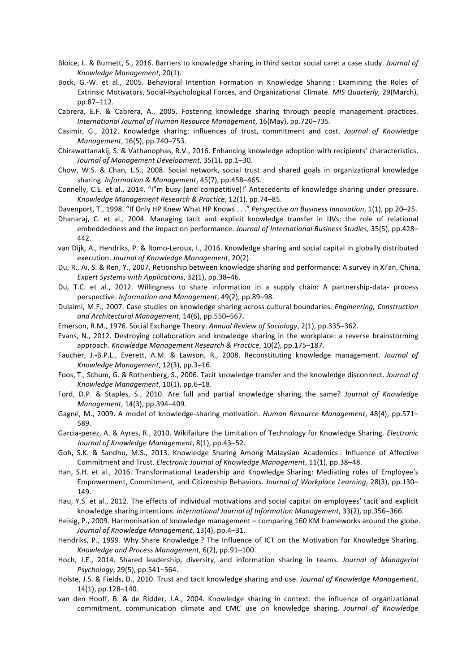- Bloice, L. & Burnett, S., 2016. Barriers to knowledge sharing in third sector social care: a case study. *Journal of Knowledge Management*, 20(1).
- Bock, G.-W. et al., 2005. Behavioral Intention Formation in Knowledge Sharing : Examining the Roles of Extrinsic Motivators, Social-Psychological Forces, and Organizational Climate. *MIS Quarterly*, 29(March), pp.87–112.
- Cabrera, E.F. & Cabrera, A., 2005. Fostering knowledge sharing through people management practices. *International Journal of Human Resource Management*, 16(May), pp.720–735.
- Casimir, G., 2012. Knowledge sharing: influences of trust, commitment and cost. *Journal of Knowledge Management*, 16(5), pp.740–753.
- Chirawattanakij, S. & Vathanophas, R.V., 2016. Enhancing knowledge adoption with recipients' characteristics. *Journal of Management Development*, 35(1), pp.1–30.
- Chow, W.S. & Chan, L.S., 2008. Social network, social trust and shared goals in organizational knowledge sharing. *Information* & Management, 45(7), pp.458-465.
- Connelly, C.E. et al., 2014. "I"m busy (and competitive)!' Antecedents of knowledge sharing under pressure. *Knowledge Management Research & Practice*, 12(1), pp.74–85.
- Davenport, T., 1998. "If Only HP Knew What HP Knows . . ." Perspective on Business Innovation, 1(1), pp.20–25.
- Dhanaraj, C. et al., 2004. Managing tacit and explicit knowledge transfer in IJVs: the role of relational embeddedness and the impact on performance. *Journal of International Business Studies*, 35(5), pp.428– 442.
- van Dijk, A., Hendriks, P. & Romo-Leroux, I., 2016. Knowledge sharing and social capital in globally distributed execution. Journal of Knowledge Management, 20(2).
- Du, R., Ai, S. & Ren, Y., 2007. Retionship between knowledge sharing and performance: A survey in Xi'an, China. *Expert Systems with Applications*, 32(1), pp.38–46.
- Du, T.C. et al., 2012. Willingness to share information in a supply chain: A partnership-data- process perspective. *Information and Management*, 49(2), pp.89–98.
- Dulaimi, M.F., 2007. Case studies on knowledge sharing across cultural boundaries. *Engineering, Construction and Architectural Management*, 14(6), pp.550–567.
- Emerson, R.M., 1976. Social Exchange Theory. Annual Review of Sociology, 2(1), pp.335-362.
- Evans, N., 2012. Destroying collaboration and knowledge sharing in the workplace: a reverse brainstorming approach. *Knowledge Management Research & Practice*, 10(2), pp.175-187.
- Faucher, J.-B.P.L., Everett, A.M. & Lawson, R., 2008. Reconstituting knowledge management. *Journal of Knowledge Management*, 12(3), pp.3–16.
- Foos, T., Schum, G. & Rothenberg, S., 2006. Tacit knowledge transfer and the knowledge disconnect. *Journal of Knowledge Management*, 10(1), pp.6–18.
- Ford, D.P. & Staples, S., 2010. Are full and partial knowledge sharing the same? *Journal of Knowledge Management*, 14(3), pp.394-409.
- Gagné, M., 2009. A model of knowledge-sharing motivation. *Human Resource Management*, 48(4), pp.571– 589.
- Garcia-perez, A. & Ayres, R., 2010. Wikifailure the Limitation of Technology for Knowledge Sharing. *Electronic Journal of Knowledge Management*, 8(1), pp.43–52.
- Goh, S.K. & Sandhu, M.S., 2013. Knowledge Sharing Among Malaysian Academics : Influence of Affective Commitment and Trust. *Electronic Journal of Knowledge Management*, 11(1), pp.38–48.
- Han, S.H. et al., 2016. Transformational Leadership and Knowledge Sharing: Mediating roles of Employee's Empowerment, Commitment, and Citizenship Behaviors. *Journal of Workplace Learning*, 28(3), pp.130– 149.
- Hau, Y.S. et al., 2012. The effects of individual motivations and social capital on employees' tacit and explicit knowledge sharing intentions. *International Journal of Information Management*, 33(2), pp.356-366.
- Heisig, P., 2009. Harmonisation of knowledge management comparing 160 KM frameworks around the globe. *Journal of Knowledge Management*, 13(4), pp.4–31.
- Hendriks, P., 1999. Why Share Knowledge ? The Influence of ICT on the Motivation for Knowledge Sharing. *Knowledge and Process Management*, 6(2), pp.91–100.
- Hoch, J.E., 2014. Shared leadership, diversity, and information sharing in teams. *Journal of Managerial Psychology*, 29(5), pp.541–564.
- Holste, J.S. & Fields, D., 2010. Trust and tacit knowledge sharing and use. *Journal of Knowledge Management*, 14(1), pp.128-140.
- van den Hooff, B. & de Ridder, J.A., 2004. Knowledge sharing in context: the influence of organizational commitment, communication climate and CMC use on knowledge sharing. *Journal of Knowledge*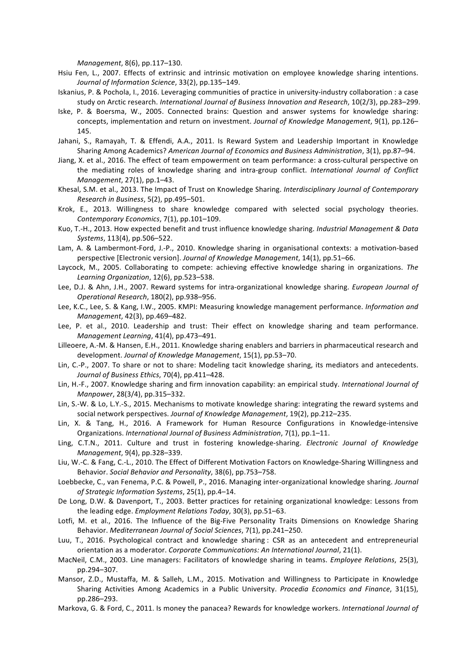*Management*, 8(6), pp.117-130.

- Hsiu Fen, L., 2007. Effects of extrinsic and intrinsic motivation on employee knowledge sharing intentions. *Journal of Information Science*, 33(2), pp.135–149.
- Iskanius, P. & Pochola, I., 2016. Leveraging communities of practice in university-industry collaboration : a case study on Arctic research. *International Journal of Business Innovation and Research*, 10(2/3), pp.283–299.
- Iske, P. & Boersma, W., 2005. Connected brains: Question and answer systems for knowledge sharing: concepts, implementation and return on investment. Journal of Knowledge Management, 9(1), pp.126– 145.
- Jahani, S., Ramayah, T. & Effendi, A.A., 2011. Is Reward System and Leadership Important in Knowledge Sharing Among Academics? American Journal of Economics and Business Administration, 3(1), pp.87-94.
- Jiang, X. et al., 2016. The effect of team empowerment on team performance: a cross-cultural perspective on the mediating roles of knowledge sharing and intra-group conflict. *International Journal of Conflict Management*, 27(1), pp.1-43.
- Khesal, S.M. et al., 2013. The Impact of Trust on Knowledge Sharing. *Interdisciplinary Journal of Contemporary Research in Business*, 5(2), pp.495–501.
- Krok, E., 2013. Willingness to share knowledge compared with selected social psychology theories. *Contemporary Economics*, 7(1), pp.101–109.
- Kuo, T.-H., 2013. How expected benefit and trust influence knowledge sharing. *Industrial Management & Data Systems*, 113(4), pp.506-522.
- Lam, A. & Lambermont-Ford, J.-P., 2010. Knowledge sharing in organisational contexts: a motivation-based perspective [Electronic version]. *Journal of Knowledge Management*, 14(1), pp.51–66.
- Laycock, M., 2005. Collaborating to compete: achieving effective knowledge sharing in organizations. The Learning Organization, 12(6), pp.523-538.
- Lee, D.J. & Ahn, J.H., 2007. Reward systems for intra-organizational knowledge sharing. *European Journal of Operational Research*, 180(2), pp.938–956.
- Lee, K.C., Lee, S. & Kang, I.W., 2005. KMPI: Measuring knowledge management performance. Information and *Management*, 42(3), pp.469-482.
- Lee, P. et al., 2010. Leadership and trust: Their effect on knowledge sharing and team performance. *Management Learning*, 41(4), pp.473-491.
- Lilleoere, A.-M. & Hansen, E.H., 2011. Knowledge sharing enablers and barriers in pharmaceutical research and development. Journal of Knowledge Management, 15(1), pp.53-70.
- Lin, C.-P., 2007. To share or not to share: Modeling tacit knowledge sharing, its mediators and antecedents. *Journal of Business Ethics*, 70(4), pp.411–428.
- Lin, H.-F., 2007. Knowledge sharing and firm innovation capability: an empirical study. International Journal of *Manpower*, 28(3/4), pp.315-332.
- Lin, S.-W. & Lo, L.Y.-S., 2015. Mechanisms to motivate knowledge sharing: integrating the reward systems and social network perspectives. Journal of Knowledge Management, 19(2), pp.212-235.
- Lin, X. & Tang, H., 2016. A Framework for Human Resource Configurations in Knowledge-intensive Organizations. *International Journal of Business Administration*, 7(1), pp.1-11.
- Ling, C.T.N., 2011. Culture and trust in fostering knowledge-sharing. *Electronic Journal of Knowledge Management*, 9(4), pp.328–339.
- Liu, W.-C. & Fang, C.-L., 2010. The Effect of Different Motivation Factors on Knowledge-Sharing Willingness and Behavior. Social Behavior and Personality, 38(6), pp.753-758.
- Loebbecke, C., van Fenema, P.C. & Powell, P., 2016. Managing inter-organizational knowledge sharing. Journal of Strategic Information Systems, 25(1), pp.4-14.
- De Long, D.W. & Davenport, T., 2003. Better practices for retaining organizational knowledge: Lessons from the leading edge. *Employment Relations Today*, 30(3), pp.51-63.
- Lotfi, M. et al., 2016. The Influence of the Big-Five Personality Traits Dimensions on Knowledge Sharing Behavior. *Mediterranean Journal of Social Sciences*, 7(1), pp.241–250.
- Luu, T., 2016. Psychological contract and knowledge sharing : CSR as an antecedent and entrepreneurial orientation as a moderator. *Corporate Communications: An International Journal*, 21(1).
- MacNeil, C.M., 2003. Line managers: Facilitators of knowledge sharing in teams. *Employee Relations*, 25(3), pp.294–307.
- Mansor, Z.D., Mustaffa, M. & Salleh, L.M., 2015. Motivation and Willingness to Participate in Knowledge Sharing Activities Among Academics in a Public University. *Procedia Economics and Finance*, 31(15), pp.286–293.
- Markova, G. & Ford, C., 2011. Is money the panacea? Rewards for knowledge workers. *International Journal of*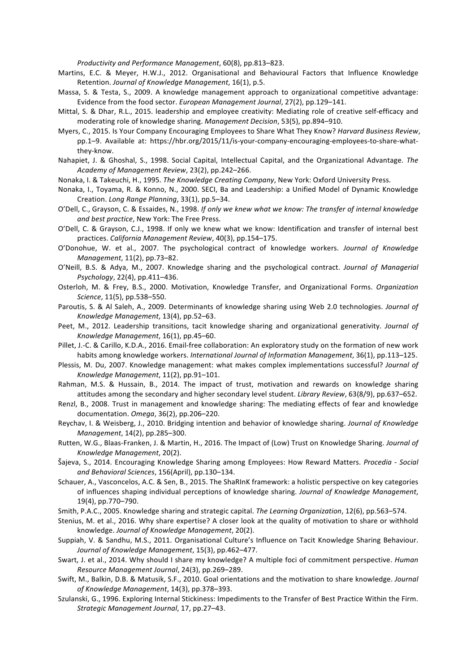*Productivity and Performance Management*, 60(8), pp.813–823.

- Martins, E.C. & Meyer, H.W.J., 2012. Organisational and Behavioural Factors that Influence Knowledge Retention. Journal of Knowledge Management, 16(1), p.5.
- Massa, S. & Testa, S., 2009. A knowledge management approach to organizational competitive advantage: Evidence from the food sector. *European Management Journal*, 27(2), pp.129-141.
- Mittal, S. & Dhar, R.L., 2015. leadership and employee creativity: Mediating role of creative self-efficacy and moderating role of knowledge sharing. Management Decision, 53(5), pp.894-910.
- Myers, C., 2015. Is Your Company Encouraging Employees to Share What They Know? *Harvard Business Review*, pp.1–9. Available at: https://hbr.org/2015/11/is-your-company-encouraging-employees-to-share-whatthey-know.
- Nahapiet, J. & Ghoshal, S., 1998. Social Capital, Intellectual Capital, and the Organizational Advantage. The *Academy of Management Review*, 23(2), pp.242–266.
- Nonaka, I. & Takeuchi, H., 1995. The Knowledge Creating Company, New York: Oxford University Press.
- Nonaka, I., Toyama, R. & Konno, N., 2000. SECI, Ba and Leadership: a Unified Model of Dynamic Knowledge Creation. *Long Range Planning*, 33(1), pp.5–34.
- O'Dell, C., Grayson, C. & Essaides, N., 1998. If only we knew what we know: The transfer of internal knowledge and best practice, New York: The Free Press.
- O'Dell, C. & Grayson, C.J., 1998. If only we knew what we know: Identification and transfer of internal best practices. *California Management Review*, 40(3), pp.154-175.
- O'Donohue, W. et al., 2007. The psychological contract of knowledge workers. *Journal of Knowledge Management*, 11(2), pp.73-82.
- O'Neill, B.S. & Adya, M., 2007. Knowledge sharing and the psychological contract. *Journal of Managerial Psychology*, 22(4), pp.411–436.
- Osterloh, M. & Frey, B.S., 2000. Motivation, Knowledge Transfer, and Organizational Forms. *Organization Science*, 11(5), pp.538–550.
- Paroutis, S. & Al Saleh, A., 2009. Determinants of knowledge sharing using Web 2.0 technologies. *Journal of Knowledge Management*, 13(4), pp.52–63.
- Peet, M., 2012. Leadership transitions, tacit knowledge sharing and organizational generativity. *Journal of Knowledge Management*, 16(1), pp.45–60.
- Pillet, J.-C. & Carillo, K.D.A., 2016. Email-free collaboration: An exploratory study on the formation of new work habits among knowledge workers. *International Journal of Information Management*, 36(1), pp.113–125.
- Plessis, M. Du, 2007. Knowledge management: what makes complex implementations successful? *Journal of Knowledge Management*, 11(2), pp.91–101.
- Rahman, M.S. & Hussain, B., 2014. The impact of trust, motivation and rewards on knowledge sharing attitudes among the secondary and higher secondary level student. *Library Review*, 63(8/9), pp.637–652.
- Renzl, B., 2008. Trust in management and knowledge sharing: The mediating effects of fear and knowledge documentation. *Omega*, 36(2), pp.206–220.
- Reychav, I. & Weisberg, J., 2010. Bridging intention and behavior of knowledge sharing. *Journal of Knowledge Management*, 14(2), pp.285-300.
- Rutten, W.G., Blaas-Franken, J. & Martin, H., 2016. The Impact of (Low) Trust on Knowledge Sharing. *Journal of Knowledge Management*, 20(2).
- Šajeva, S., 2014. Encouraging Knowledge Sharing among Employees: How Reward Matters. *Procedia Social and Behavioral Sciences*, 156(April), pp.130–134.
- Schauer, A., Vasconcelos, A.C. & Sen, B., 2015. The ShaRInK framework: a holistic perspective on key categories of influences shaping individual perceptions of knowledge sharing. Journal of Knowledge Management, 19(4), pp.770-790.
- Smith, P.A.C., 2005. Knowledge sharing and strategic capital. *The Learning Organization*, 12(6), pp.563–574.
- Stenius, M. et al., 2016. Why share expertise? A closer look at the quality of motivation to share or withhold knowledge. *Journal of Knowledge Management*, 20(2).
- Suppiah, V. & Sandhu, M.S., 2011. Organisational Culture's Influence on Tacit Knowledge Sharing Behaviour. *Journal of Knowledge Management*, 15(3), pp.462–477.
- Swart, J. et al., 2014. Why should I share my knowledge? A multiple foci of commitment perspective. *Human Resource Management Journal*, 24(3), pp.269–289.
- Swift, M., Balkin, D.B. & Matusik, S.F., 2010. Goal orientations and the motivation to share knowledge. *Journal* of Knowledge Management, 14(3), pp.378-393.
- Szulanski, G., 1996. Exploring Internal Stickiness: Impediments to the Transfer of Best Practice Within the Firm. *Strategic Management Journal*, 17, pp.27–43.